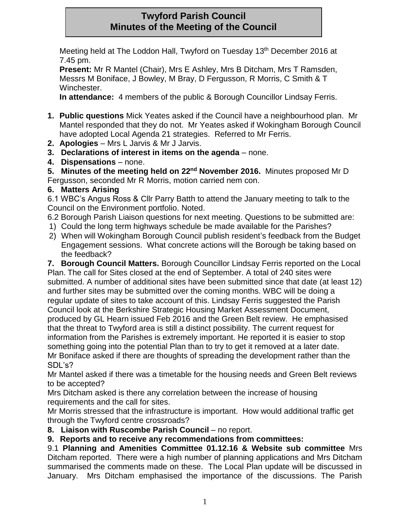# **Twyford Parish Council Minutes of the Meeting of the Council**

Meeting held at The Loddon Hall, Twyford on Tuesday 13<sup>th</sup> December 2016 at 7.45 pm.

**Present:** Mr R Mantel (Chair), Mrs E Ashley, Mrs B Ditcham, Mrs T Ramsden, Messrs M Boniface, J Bowley, M Bray, D Fergusson, R Morris, C Smith & T Winchester.

**In attendance:** 4 members of the public & Borough Councillor Lindsay Ferris.

- **1. Public questions** Mick Yeates asked if the Council have a neighbourhood plan. Mr Mantel responded that they do not. Mr Yeates asked if Wokingham Borough Council have adopted Local Agenda 21 strategies. Referred to Mr Ferris.
- **2. Apologies**  Mrs L Jarvis & Mr J Jarvis.
- **3. Declarations of interest in items on the agenda**  none.
- **4. Dispensations**  none.

**5. Minutes of the meeting held on 22nd November 2016.** Minutes proposed Mr D Fergusson, seconded Mr R Morris, motion carried nem con.

## **6. Matters Arising**

6.1 WBC's Angus Ross & Cllr Parry Batth to attend the January meeting to talk to the Council on the Environment portfolio. Noted.

- 6.2 Borough Parish Liaison questions for next meeting. Questions to be submitted are:
- 1) Could the long term highways schedule be made available for the Parishes?
- 2) When will Wokingham Borough Council publish resident's feedback from the Budget Engagement sessions. What concrete actions will the Borough be taking based on the feedback?

**7. Borough Council Matters.** Borough Councillor Lindsay Ferris reported on the Local Plan. The call for Sites closed at the end of September. A total of 240 sites were submitted. A number of additional sites have been submitted since that date (at least 12) and further sites may be submitted over the coming months. WBC will be doing a regular update of sites to take account of this. Lindsay Ferris suggested the Parish

Council look at the Berkshire Strategic Housing Market Assessment Document, produced by GL Hearn issued Feb 2016 and the Green Belt review. He emphasised that the threat to Twyford area is still a distinct possibility. The current request for information from the Parishes is extremely important. He reported it is easier to stop something going into the potential Plan than to try to get it removed at a later date. Mr Boniface asked if there are thoughts of spreading the development rather than the SDL's?

Mr Mantel asked if there was a timetable for the housing needs and Green Belt reviews to be accepted?

Mrs Ditcham asked is there any correlation between the increase of housing requirements and the call for sites.

Mr Morris stressed that the infrastructure is important. How would additional traffic get through the Twyford centre crossroads?

**8. Liaison with Ruscombe Parish Council** – no report.

## **9. Reports and to receive any recommendations from committees:**

9.1 **Planning and Amenities Committee 01.12.16 & Website sub committee** Mrs Ditcham reported. There were a high number of planning applications and Mrs Ditcham summarised the comments made on these. The Local Plan update will be discussed in January. Mrs Ditcham emphasised the importance of the discussions. The Parish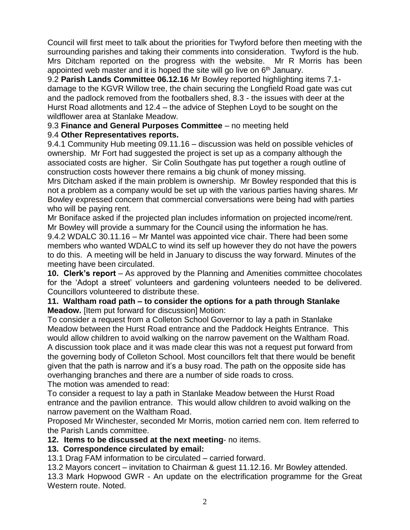Council will first meet to talk about the priorities for Twyford before then meeting with the surrounding parishes and taking their comments into consideration. Twyford is the hub. Mrs Ditcham reported on the progress with the website. Mr R Morris has been appointed web master and it is hoped the site will go live on  $6<sup>th</sup>$  January.

9.2 **Parish Lands Committee 06.12.16** Mr Bowley reported highlighting items 7.1 damage to the KGVR Willow tree, the chain securing the Longfield Road gate was cut and the padlock removed from the footballers shed, 8.3 - the issues with deer at the Hurst Road allotments and 12.4 – the advice of Stephen Loyd to be sought on the wildflower area at Stanlake Meadow.

#### 9.3 **Finance and General Purposes Committee** – no meeting held 9.4 **Other Representatives reports.**

9.4.1 Community Hub meeting 09.11.16 – discussion was held on possible vehicles of ownership. Mr Fort had suggested the project is set up as a company although the associated costs are higher. Sir Colin Southgate has put together a rough outline of construction costs however there remains a big chunk of money missing.

Mrs Ditcham asked if the main problem is ownership. Mr Bowley responded that this is not a problem as a company would be set up with the various parties having shares. Mr Bowley expressed concern that commercial conversations were being had with parties who will be paying rent.

Mr Boniface asked if the projected plan includes information on projected income/rent. Mr Bowley will provide a summary for the Council using the information he has.

9.4.2 WDALC 30.11.16 – Mr Mantel was appointed vice chair. There had been some members who wanted WDALC to wind its self up however they do not have the powers to do this. A meeting will be held in January to discuss the way forward. Minutes of the meeting have been circulated.

**10. Clerk's report** – As approved by the Planning and Amenities committee chocolates for the 'Adopt a street' volunteers and gardening volunteers needed to be delivered. Councillors volunteered to distribute these.

## **11. Waltham road path – to consider the options for a path through Stanlake Meadow.** [Item put forward for discussion] Motion:

To consider a request from a Colleton School Governor to lay a path in Stanlake Meadow between the Hurst Road entrance and the Paddock Heights Entrance. This would allow children to avoid walking on the narrow pavement on the Waltham Road. A discussion took place and it was made clear this was not a request put forward from the governing body of Colleton School. Most councillors felt that there would be benefit given that the path is narrow and it's a busy road. The path on the opposite side has overhanging branches and there are a number of side roads to cross. The motion was amended to read:

To consider a request to lay a path in Stanlake Meadow between the Hurst Road entrance and the pavilion entrance. This would allow children to avoid walking on the narrow pavement on the Waltham Road.

Proposed Mr Winchester, seconded Mr Morris, motion carried nem con. Item referred to the Parish Lands committee.

**12. Items to be discussed at the next meeting**- no items.

## **13. Correspondence circulated by email:**

13.1 Drag FAM information to be circulated – carried forward.

13.2 Mayors concert – invitation to Chairman & guest 11.12.16. Mr Bowley attended. 13.3 Mark Hopwood GWR - An update on the electrification programme for the Great Western route. Noted.